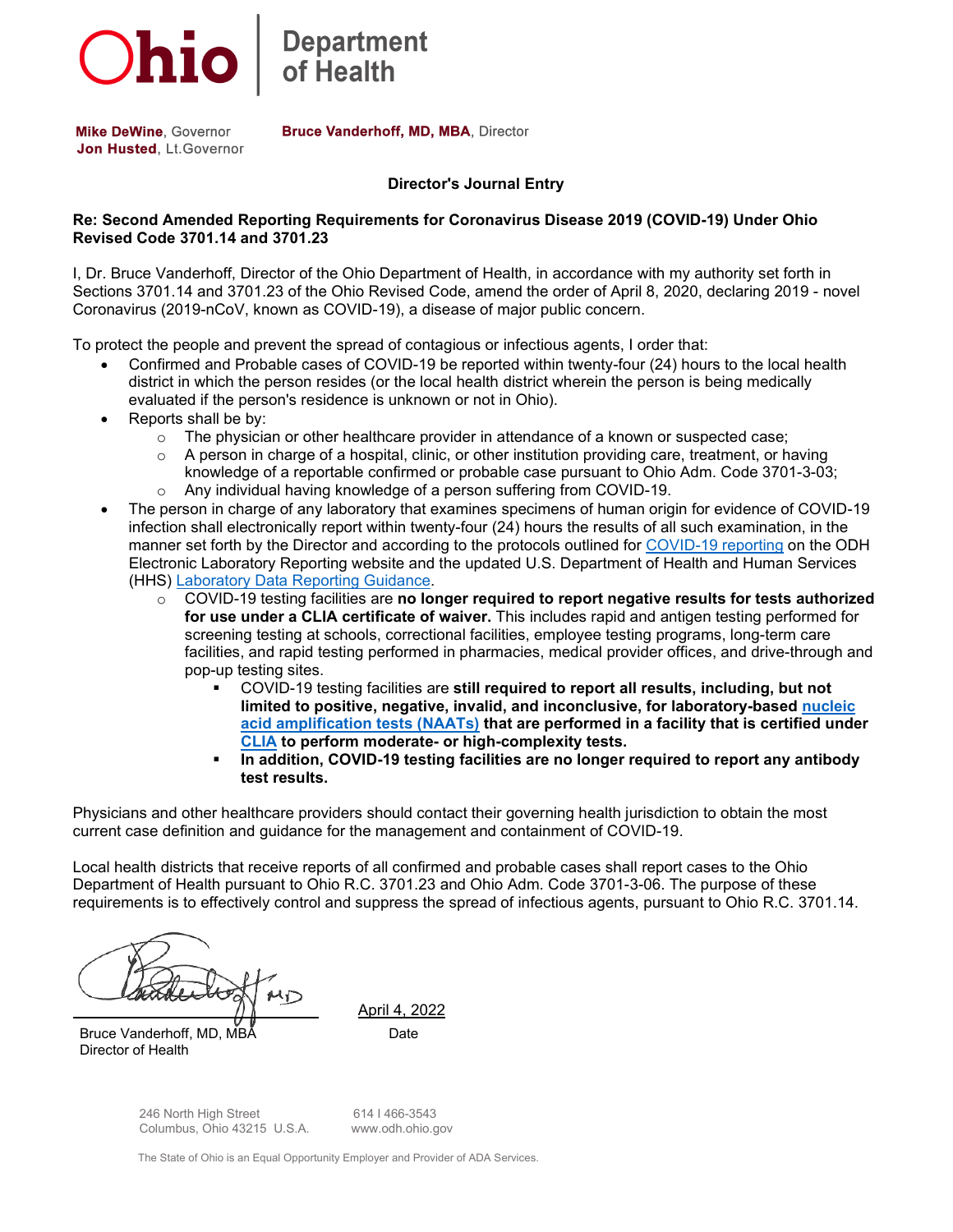

Department<br>of Health

**Mike DeWine, Governor** Jon Husted, Lt. Governor Bruce Vanderhoff, MD, MBA, Director

## **Director's Journal Entry**

## **Re: Second Amended Reporting Requirements for Coronavirus Disease 2019 (COVID-19) Under Ohio Revised Code 3701.14 and 3701.23**

I, Dr. Bruce Vanderhoff, Director of the Ohio Department of Health, in accordance with my authority set forth in Sections 3701.14 and 3701.23 of the Ohio Revised Code, amend the order of April 8, 2020, declaring 2019 - novel Coronavirus (2019-nCoV, known as COVID-19), a disease of major public concern.

To protect the people and prevent the spread of contagious or infectious agents, I order that:

- Confirmed and Probable cases of COVID-19 be reported within twenty-four (24) hours to the local health district in which the person resides (or the local health district wherein the person is being medically evaluated if the person's residence is unknown or not in Ohio).
- Reports shall be by:
	- $\circ$  The physician or other healthcare provider in attendance of a known or suspected case;
	- $\circ$  A person in charge of a hospital, clinic, or other institution providing care, treatment, or having knowledge of a reportable confirmed or probable case pursuant to Ohio Adm. Code 3701-3-03; o Any individual having knowledge of a person suffering from COVID-19.
- The person in charge of any laboratory that examines specimens of human origin for evidence of COVID-19 infection shall electronically report within twenty-four (24) hours the results of all such examination, in the manner set forth by the Director and according to the protocols outlined for [COVID-19 reporting](https://gcc02.safelinks.protection.outlook.com/?url=https%3A%2F%2Fodh.ohio.gov%2Fknow-our-programs%2Felectronic-laboratory-reporting%2FCOVID-19-Reporting%2FCOVID-19-Reporting&data=04%7C01%7CMichelle.Fong%40odh.ohio.gov%7Cfcdced0c25414f7b061408da141f9903%7C50f8fcc494d84f0784eb36ed57c7c8a2%7C0%7C0%7C637844423213530065%7CUnknown%7CTWFpbGZsb3d8eyJWIjoiMC4wLjAwMDAiLCJQIjoiV2luMzIiLCJBTiI6Ik1haWwiLCJXVCI6Mn0%3D%7C3000&sdata=%2Boa6ayhyKN%2FpfgrkIANNTzqvn6D23w2%2FkJv%2BLdk9CNk%3D&reserved=0) on the ODH Electronic Laboratory Reporting website and the updated U.S. Department of Health and Human Services (HHS) [Laboratory Data Reporting Guidance.](https://gcc02.safelinks.protection.outlook.com/?url=https%3A%2F%2Fwww.cdc.gov%2Fcoronavirus%2F2019-ncov%2Fdownloads%2Flab%2FHHS-Laboratory-Reporting-Guidance-508.pdf%3FACSTrackingID%3DFCP_1_USCDC_2146-DM77640%26ACSTrackingLabel%3D%255BProof%25201%255D%2520Lab%2520Advisory%253A%2520HHS%2520Updates%2520COVID-19%2520Laboratory%2520Reporting%2520Guidance%26deliveryName%3DFCP_1_USCDC_2146-DM77640&data=04%7C01%7CMichelle.Fong%40odh.ohio.gov%7Cfcdced0c25414f7b061408da141f9903%7C50f8fcc494d84f0784eb36ed57c7c8a2%7C0%7C0%7C637844423213530065%7CUnknown%7CTWFpbGZsb3d8eyJWIjoiMC4wLjAwMDAiLCJQIjoiV2luMzIiLCJBTiI6Ik1haWwiLCJXVCI6Mn0%3D%7C3000&sdata=qrwxnn0Yuj3wp2iL4%2Fsk3tUzyEMPgpY25H1ggjgtk8w%3D&reserved=0)
	- o COVID-19 testing facilities are **no longer required to report negative results for tests authorized for use under a CLIA certificate of waiver.** This includes rapid and antigen testing performed for screening testing at schools, correctional facilities, employee testing programs, long-term care facilities, and rapid testing performed in pharmacies, medical provider offices, and drive-through and pop-up testing sites.
		- COVID-19 testing facilities are **still required to report all results, including, but not limited to positive, negative, invalid, and inconclusive, for laboratory-based [nucleic](https://gcc02.safelinks.protection.outlook.com/?url=https%3A%2F%2Fwww.cdc.gov%2Fcoronavirus%2F2019-ncov%2Flab%2Fnaats.html%3FACSTrackingID%3DFCP_1_USCDC_2146-DM77640%26ACSTrackingLabel%3D%255BProof%25201%255D%2520Lab%2520Advisory%253A%2520HHS%2520Updates%2520COVID-19%2520Laboratory%2520Reporting%2520Guidance%26deliveryName%3DFCP_1_USCDC_2146-DM77640&data=04%7C01%7CMichelle.Fong%40odh.ohio.gov%7Cfcdced0c25414f7b061408da141f9903%7C50f8fcc494d84f0784eb36ed57c7c8a2%7C0%7C0%7C637844423213530065%7CUnknown%7CTWFpbGZsb3d8eyJWIjoiMC4wLjAwMDAiLCJQIjoiV2luMzIiLCJBTiI6Ik1haWwiLCJXVCI6Mn0%3D%7C3000&sdata=nn4ylTzTlPF4jtY3cNi1J%2Fv3I%2FuJjAfR%2BMM0hInmvyY%3D&reserved=0) [acid amplification tests \(NAATs\)](https://gcc02.safelinks.protection.outlook.com/?url=https%3A%2F%2Fwww.cdc.gov%2Fcoronavirus%2F2019-ncov%2Flab%2Fnaats.html%3FACSTrackingID%3DFCP_1_USCDC_2146-DM77640%26ACSTrackingLabel%3D%255BProof%25201%255D%2520Lab%2520Advisory%253A%2520HHS%2520Updates%2520COVID-19%2520Laboratory%2520Reporting%2520Guidance%26deliveryName%3DFCP_1_USCDC_2146-DM77640&data=04%7C01%7CMichelle.Fong%40odh.ohio.gov%7Cfcdced0c25414f7b061408da141f9903%7C50f8fcc494d84f0784eb36ed57c7c8a2%7C0%7C0%7C637844423213530065%7CUnknown%7CTWFpbGZsb3d8eyJWIjoiMC4wLjAwMDAiLCJQIjoiV2luMzIiLCJBTiI6Ik1haWwiLCJXVCI6Mn0%3D%7C3000&sdata=nn4ylTzTlPF4jtY3cNi1J%2Fv3I%2FuJjAfR%2BMM0hInmvyY%3D&reserved=0) that are performed in a facility that is certified under [CLIA](https://gcc02.safelinks.protection.outlook.com/?url=https%3A%2F%2Fwww.cdc.gov%2Fclia%2Findex.html%3FACSTrackingID%3DFCP_1_USCDC_2146-DM77640%26ACSTrackingLabel%3D%255BProof%25201%255D%2520Lab%2520Advisory%253A%2520HHS%2520Updates%2520COVID-19%2520Laboratory%2520Reporting%2520Guidance%26deliveryName%3DFCP_1_USCDC_2146-DM77640&data=04%7C01%7CMichelle.Fong%40odh.ohio.gov%7Cfcdced0c25414f7b061408da141f9903%7C50f8fcc494d84f0784eb36ed57c7c8a2%7C0%7C0%7C637844423213530065%7CUnknown%7CTWFpbGZsb3d8eyJWIjoiMC4wLjAwMDAiLCJQIjoiV2luMzIiLCJBTiI6Ik1haWwiLCJXVCI6Mn0%3D%7C3000&sdata=OlVM31N2Zr0bkYcVsQ2Zq2KzLcNcOd2ZP4WTH3Nc02w%3D&reserved=0) to perform moderate- or high-complexity tests.**
		- **In addition, COVID-19 testing facilities are no longer required to report any antibody test results.**

Physicians and other healthcare providers should contact their governing health jurisdiction to obtain the most current case definition and guidance for the management and containment of COVID-19.

Local health districts that receive reports of all confirmed and probable cases shall report cases to the Ohio Department of Health pursuant to Ohio R.C. 3701.23 and Ohio Adm. Code 3701-3-06. The purpose of these requirements is to effectively control and suppress the spread of infectious agents, pursuant to Ohio R.C. 3701.14.

Bruce Vanderhoff, MD, MBÅ Date Director of Health

April 4, 2022

246 North High Street 614 I 466-3543<br>Columbus, Ohio 43215 U.S.A. www.odh.ohio.gov Columbus, Ohio 43215 U.S.A.

The State of Ohio is an Equal Opportunity Employer and Provider of ADA Services.